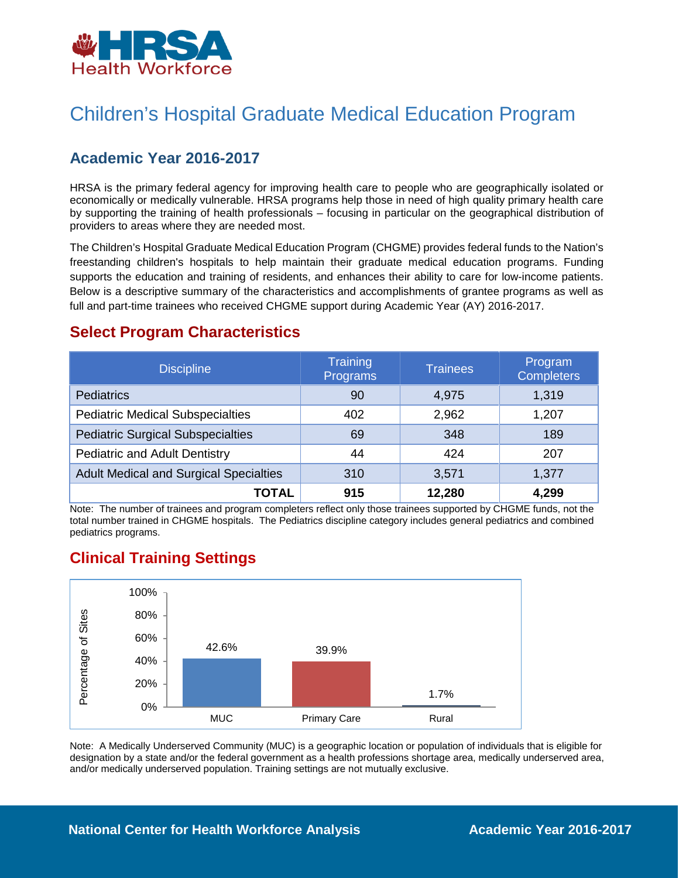

# Children's Hospital Graduate Medical Education Program

## **Academic Year 2016-2017**

HRSA is the primary federal agency for improving health care to people who are geographically isolated or economically or medically vulnerable. HRSA programs help those in need of high quality primary health care by supporting the training of health professionals – focusing in particular on the geographical distribution of providers to areas where they are needed most.

The Children's Hospital Graduate Medical Education Program (CHGME) provides federal funds to the Nation's freestanding children's hospitals to help maintain their graduate medical education programs. Funding supports the education and training of residents, and enhances their ability to care for low-income patients. Below is a descriptive summary of the characteristics and accomplishments of grantee programs as well as full and part-time trainees who received CHGME support during Academic Year (AY) 2016-2017.

### **Select Program Characteristics**

| <b>Discipline</b>                             | Training<br>Programs | <b>Trainees</b> | Program<br><b>Completers</b> |
|-----------------------------------------------|----------------------|-----------------|------------------------------|
| <b>Pediatrics</b>                             | 90                   | 4,975           | 1,319                        |
| <b>Pediatric Medical Subspecialties</b>       | 402                  | 2,962           | 1,207                        |
| <b>Pediatric Surgical Subspecialties</b>      | 69                   | 348             | 189                          |
| <b>Pediatric and Adult Dentistry</b>          | 44                   | 424             | 207                          |
| <b>Adult Medical and Surgical Specialties</b> | 310                  | 3,571           | 1,377                        |
| TOTAL                                         | 915                  | 12,280          | 4,299                        |

Note: The number of trainees and program completers reflect only those trainees supported by CHGME funds, not the total number trained in CHGME hospitals. The Pediatrics discipline category includes general pediatrics and combined pediatrics programs.

### **Clinical Training Settings**



Note: A Medically Underserved Community (MUC) is a geographic location or population of individuals that is eligible for designation by a state and/or the federal government as a health professions shortage area, medically underserved area, and/or medically underserved population. Training settings are not mutually exclusive.

#### **National Center for Health Workforce Analysis Mational Center 2016-2017**